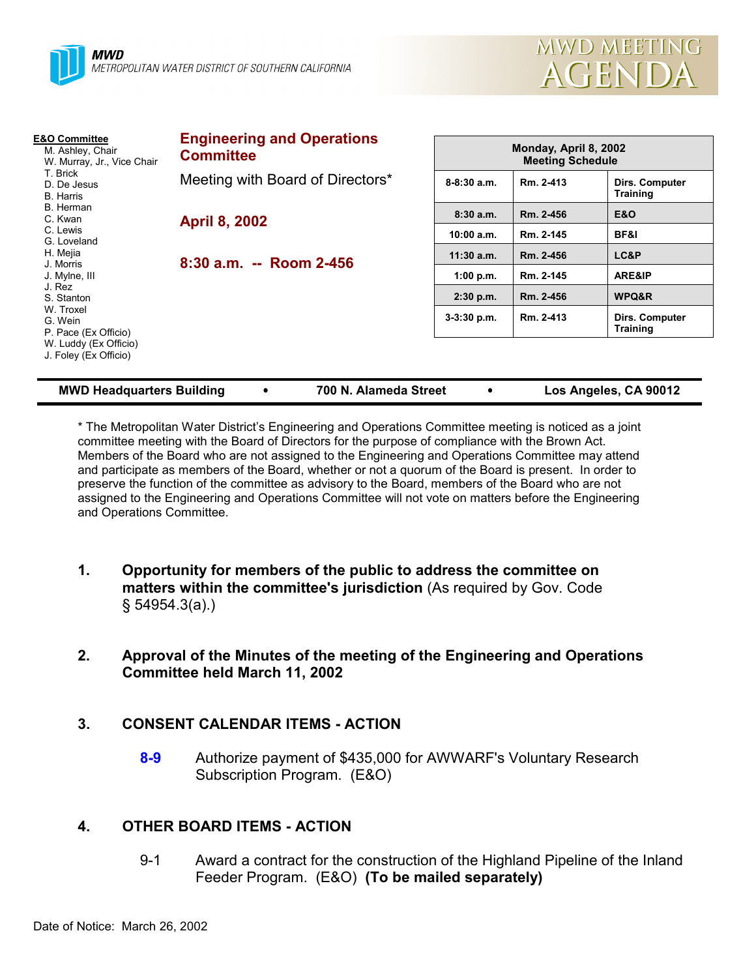

| <b>E&amp;O Committee</b><br>M. Ashley, Chair<br>W. Murray, Jr., Vice Chair<br>T. Brick<br>D. De Jesus<br>B. Harris | <b>Engineering and Operations</b><br><b>Committee</b> | Monday, April 8, 2002<br><b>Meeting Schedule</b> |           |                                   |
|--------------------------------------------------------------------------------------------------------------------|-------------------------------------------------------|--------------------------------------------------|-----------|-----------------------------------|
|                                                                                                                    | Meeting with Board of Directors*                      | $8-8:30$ a.m.                                    | Rm. 2-413 | Dirs. Computer<br><b>Training</b> |
| B. Herman<br>C. Kwan                                                                                               | <b>April 8, 2002</b><br>$8:30$ a.m. -- Room 2-456     | 8:30a.m.                                         | Rm. 2-456 | E&O                               |
| C. Lewis<br>G. Loveland                                                                                            |                                                       | 10:00 a.m.                                       | Rm. 2-145 | BF&I                              |
| H. Mejia                                                                                                           |                                                       | $11:30$ a.m.                                     | Rm. 2-456 | LC&P                              |
| J. Morris<br>J. Mylne, III                                                                                         |                                                       | 1:00 p.m.                                        | Rm. 2-145 | <b>ARE&amp;IP</b>                 |
| J. Rez<br>S. Stanton                                                                                               |                                                       | $2:30$ p.m.                                      | Rm. 2-456 | WPQ&R                             |
| W. Troxel<br>G. Wein<br>P. Pace (Ex Officio)<br>W. Luddy (Ex Officio)<br>J. Foley (Ex Officio)                     |                                                       | 3-3:30 p.m.                                      | Rm. 2-413 | Dirs. Computer<br><b>Training</b> |
|                                                                                                                    |                                                       |                                                  |           |                                   |

| 700 N. Alameda Street | Los Angeles, CA 90012 |
|-----------------------|-----------------------|
|                       |                       |

\* The Metropolitan Water District's Engineering and Operations Committee meeting is noticed as a joint committee meeting with the Board of Directors for the purpose of compliance with the Brown Act. Members of the Board who are not assigned to the Engineering and Operations Committee may attend and participate as members of the Board, whether or not a quorum of the Board is present. In order to preserve the function of the committee as advisory to the Board, members of the Board who are not assigned to the Engineering and Operations Committee will not vote on matters before the Engineering and Operations Committee.

- **1. Opportunity for members of the public to address the committee on matters within the committee's jurisdiction** (As required by Gov. Code § 54954.3(a).)
- **2. Approval of the Minutes of the meeting of the Engineering and Operations Committee held March 11, 2002**

# **3. CONSENT CALENDAR ITEMS - ACTION**

**8-9** Authorize payment of \$435,000 for AWWARF's Voluntary Research Subscription Program. (E&O)

# **4. OTHER BOARD ITEMS - ACTION**

9-1 Award a contract for the construction of the Highland Pipeline of the Inland Feeder Program. (E&O) **(To be mailed separately)**